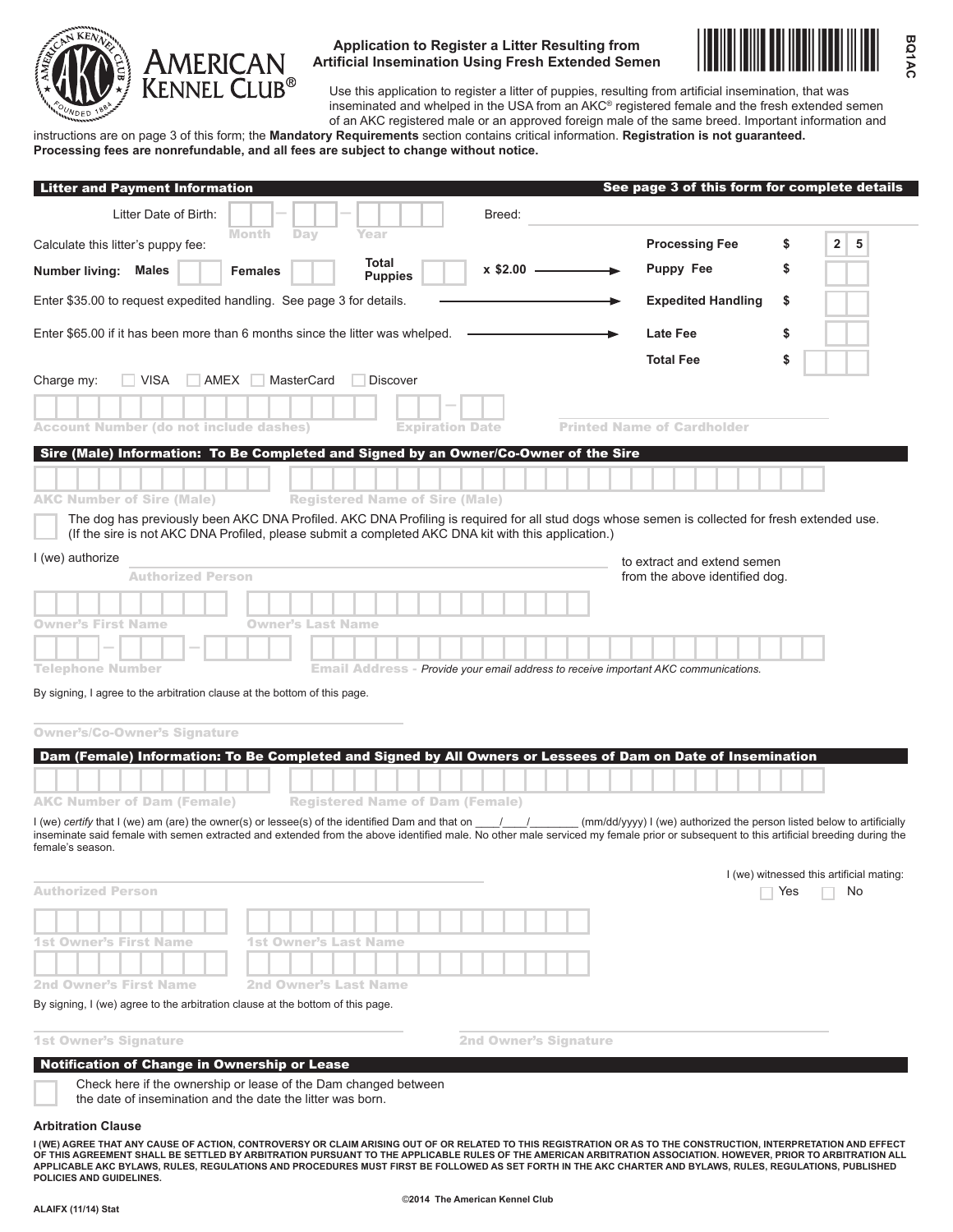

### **Application to Register a Litter Resulting from Artificial Insemination Using Fresh Extended Semen**



Use this application to register a litter of puppies, resulting from artificial insemination, that was inseminated and whelped in the USA from an AKC® registered female and the fresh extended semen of an AKC registered male or an approved foreign male of the same breed. Important information and

instructions are on page 3 of this form; the **Mandatory Requirements** section contains critical information. **Registration is not guaranteed. Processing fees are nonrefundable, and all fees are subject to change without notice.**

| <b>Litter and Payment Information</b>                                                                                | See page 3 of this form for complete details                                                                                                                                                                                                                   |
|----------------------------------------------------------------------------------------------------------------------|----------------------------------------------------------------------------------------------------------------------------------------------------------------------------------------------------------------------------------------------------------------|
| Litter Date of Birth:                                                                                                | Breed:                                                                                                                                                                                                                                                         |
| Month<br>Day<br>Year<br>Calculate this litter's puppy fee:                                                           | <b>Processing Fee</b><br>$\overline{\mathbf{2}}$<br>5<br>\$                                                                                                                                                                                                    |
| Total<br>Number living: Males<br><b>Females</b><br><b>Puppies</b>                                                    | <b>Puppy Fee</b><br>S<br>x \$2.00                                                                                                                                                                                                                              |
| Enter \$35.00 to request expedited handling. See page 3 for details.                                                 | <b>Expedited Handling</b><br>\$                                                                                                                                                                                                                                |
| Enter \$65.00 if it has been more than 6 months since the litter was whelped.                                        | <b>Late Fee</b><br>\$                                                                                                                                                                                                                                          |
|                                                                                                                      | <b>Total Fee</b><br>\$                                                                                                                                                                                                                                         |
| <b>VISA</b><br>AMEX<br><b>MasterCard</b><br>Charge my:<br><b>Discover</b>                                            |                                                                                                                                                                                                                                                                |
|                                                                                                                      |                                                                                                                                                                                                                                                                |
| <b>Account Number (do not include dashes)</b>                                                                        | <b>Printed Name of Cardholder</b><br><b>Expiration Date</b>                                                                                                                                                                                                    |
| Sire (Male) Information: To Be Completed and Signed by an Owner/Co-Owner of the Sire                                 |                                                                                                                                                                                                                                                                |
|                                                                                                                      |                                                                                                                                                                                                                                                                |
| <b>AKC Number of Sire (Male)</b><br><b>Registered Name of Sire (Male)</b>                                            |                                                                                                                                                                                                                                                                |
| I (we) authorize<br><b>Authorized Person</b>                                                                         | to extract and extend semen<br>from the above identified dog.                                                                                                                                                                                                  |
|                                                                                                                      |                                                                                                                                                                                                                                                                |
| <b>Owner's First Name</b><br><b>Owner's Last Name</b>                                                                |                                                                                                                                                                                                                                                                |
|                                                                                                                      |                                                                                                                                                                                                                                                                |
| <b>Telephone Number</b>                                                                                              | <b>Email Address - Provide your email address to receive important AKC communications.</b>                                                                                                                                                                     |
| By signing, I agree to the arbitration clause at the bottom of this page.                                            |                                                                                                                                                                                                                                                                |
| <b>Owner's/Co-Owner's Signature</b>                                                                                  |                                                                                                                                                                                                                                                                |
|                                                                                                                      | Dam (Female) Information: To Be Completed and Signed by All Owners or Lessees of Dam on Date of Insemination                                                                                                                                                   |
|                                                                                                                      |                                                                                                                                                                                                                                                                |
| <b>AKC Number of Dam (Female)</b><br><b>Registered Name of Dam (Female)</b>                                          |                                                                                                                                                                                                                                                                |
| I (we) certify that I (we) am (are) the owner(s) or lessee(s) of the identified Dam and that on $\frac{1}{\sqrt{2}}$ | (mm/dd/yyyy) I (we) authorized the person listed below to artificially<br>inseminate said female with semen extracted and extended from the above identified male. No other male serviced my female prior or subsequent to this artificial breeding during the |
| female's season.                                                                                                     |                                                                                                                                                                                                                                                                |
|                                                                                                                      | I (we) witnessed this artificial mating:                                                                                                                                                                                                                       |
| <b>Authorized Person</b>                                                                                             | Yes<br>No                                                                                                                                                                                                                                                      |
|                                                                                                                      |                                                                                                                                                                                                                                                                |
| <b>1st Owner's First Name</b><br><b>1st Owner's Last Name</b>                                                        |                                                                                                                                                                                                                                                                |
|                                                                                                                      |                                                                                                                                                                                                                                                                |
| <b>2nd Owner's First Name</b><br>2nd Owner's Last Name                                                               |                                                                                                                                                                                                                                                                |
| By signing, I (we) agree to the arbitration clause at the bottom of this page.                                       |                                                                                                                                                                                                                                                                |
| <b>1st Owner's Signature</b>                                                                                         | <b>2nd Owner's Signature</b>                                                                                                                                                                                                                                   |
| Notification of Change in Ownership or Lease                                                                         |                                                                                                                                                                                                                                                                |
| Check here if the ownership or lease of the Dam changed between                                                      |                                                                                                                                                                                                                                                                |

the date of insemination and the date the litter was born.

#### **Arbitration Clause**

I (WE) AGREE THAT ANY CAUSE OF ACTION, CONTROVERSY OR CLAIM ARISING OUT OF OR RELATED TO THIS REGISTRATION AS TO THE CONSTRUCTION, INTERPRETATION AND EFFECT<br>OF THIS AGREEMENT SHALL BE SETTLED BY ARBITRATION PURSUANT TO THE **applicable AKC Bylaws, rules, REGULATIONS and procedures must first be followed as set forth in the AKC Charter and Bylaws, rules, REGULATIONS, published policies and guidElines.**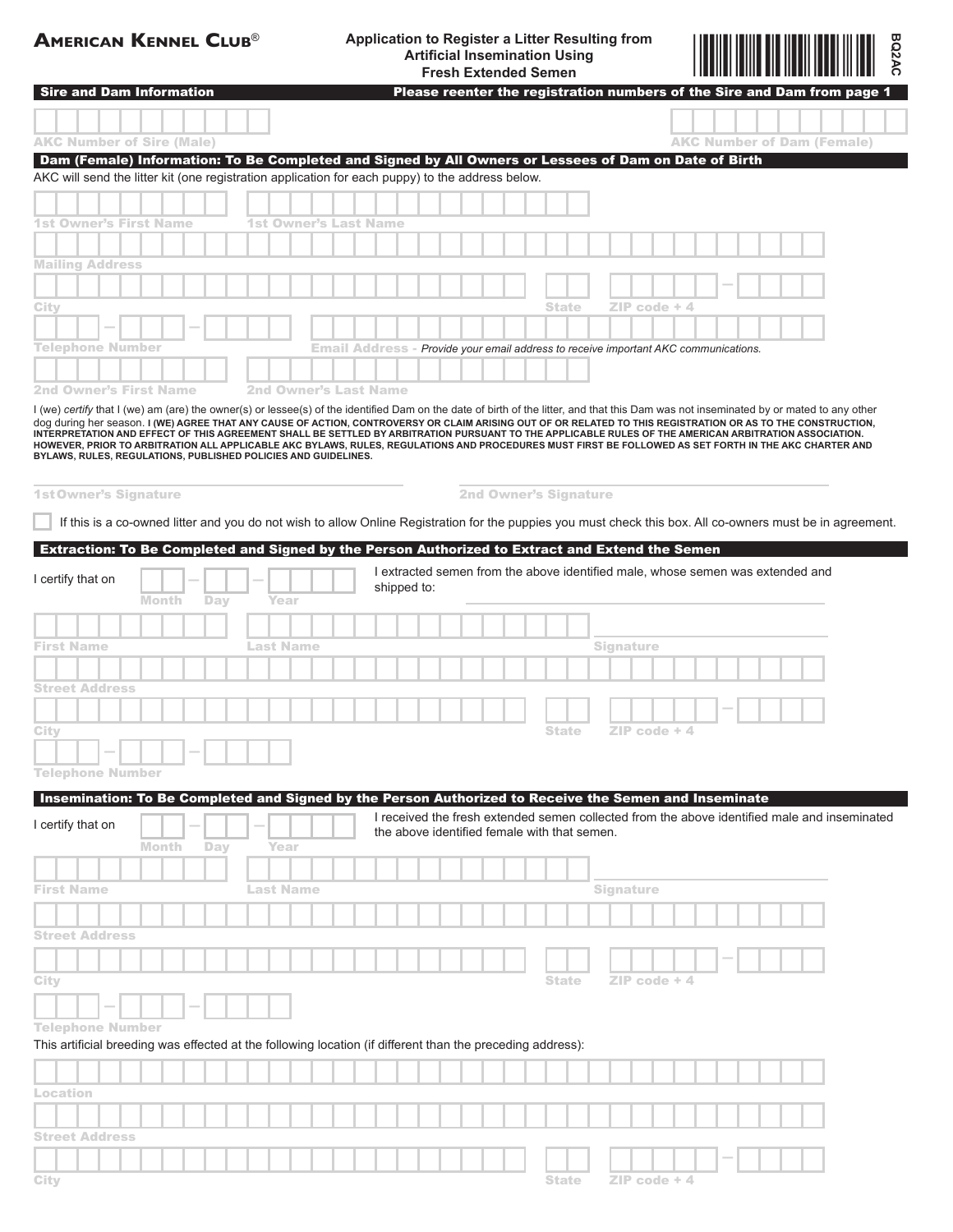# **American Kennel Club**® **Application to Register a Litter Resulting from Artificial Insemination Using Fresh Extended Semen**



| <b>Sire and Dam Information</b>                                                                                                                                                                                                                                                                                |              |            |                              |  |                                                                                     |                                                                                |  |                              |  |              |  |           |                 |  |  |  |  | Please reenter the registration numbers of the Sire and Dam from page 1                      |  |
|----------------------------------------------------------------------------------------------------------------------------------------------------------------------------------------------------------------------------------------------------------------------------------------------------------------|--------------|------------|------------------------------|--|-------------------------------------------------------------------------------------|--------------------------------------------------------------------------------|--|------------------------------|--|--------------|--|-----------|-----------------|--|--|--|--|----------------------------------------------------------------------------------------------|--|
|                                                                                                                                                                                                                                                                                                                |              |            |                              |  |                                                                                     |                                                                                |  |                              |  |              |  |           |                 |  |  |  |  |                                                                                              |  |
| <b>AKC Number of Sire (Male)</b>                                                                                                                                                                                                                                                                               |              |            |                              |  |                                                                                     |                                                                                |  |                              |  |              |  |           |                 |  |  |  |  | <b>AKC Number of Dam (Female)</b>                                                            |  |
| Dam (Female) Information: To Be Completed and Signed by All Owners or Lessees of Dam on Date of Birth                                                                                                                                                                                                          |              |            |                              |  |                                                                                     |                                                                                |  |                              |  |              |  |           |                 |  |  |  |  |                                                                                              |  |
| AKC will send the litter kit (one registration application for each puppy) to the address below.                                                                                                                                                                                                               |              |            |                              |  |                                                                                     |                                                                                |  |                              |  |              |  |           |                 |  |  |  |  |                                                                                              |  |
|                                                                                                                                                                                                                                                                                                                |              |            |                              |  |                                                                                     |                                                                                |  |                              |  |              |  |           |                 |  |  |  |  |                                                                                              |  |
|                                                                                                                                                                                                                                                                                                                |              |            |                              |  |                                                                                     |                                                                                |  |                              |  |              |  |           |                 |  |  |  |  |                                                                                              |  |
| 1st Owner's First Name                                                                                                                                                                                                                                                                                         |              |            | <b>1st Owner's Last Name</b> |  |                                                                                     |                                                                                |  |                              |  |              |  |           |                 |  |  |  |  |                                                                                              |  |
|                                                                                                                                                                                                                                                                                                                |              |            |                              |  |                                                                                     |                                                                                |  |                              |  |              |  |           |                 |  |  |  |  |                                                                                              |  |
| <b>Mailing Address</b>                                                                                                                                                                                                                                                                                         |              |            |                              |  |                                                                                     |                                                                                |  |                              |  |              |  |           |                 |  |  |  |  |                                                                                              |  |
|                                                                                                                                                                                                                                                                                                                |              |            |                              |  |                                                                                     |                                                                                |  |                              |  |              |  |           |                 |  |  |  |  |                                                                                              |  |
| City                                                                                                                                                                                                                                                                                                           |              |            |                              |  |                                                                                     |                                                                                |  |                              |  | State        |  |           | $ZIP$ code $+4$ |  |  |  |  |                                                                                              |  |
|                                                                                                                                                                                                                                                                                                                |              |            |                              |  |                                                                                     |                                                                                |  |                              |  |              |  |           |                 |  |  |  |  |                                                                                              |  |
| Telephone Number                                                                                                                                                                                                                                                                                               |              |            |                              |  | Email Address - Provide your email address to receive important AKC communications. |                                                                                |  |                              |  |              |  |           |                 |  |  |  |  |                                                                                              |  |
|                                                                                                                                                                                                                                                                                                                |              |            |                              |  |                                                                                     |                                                                                |  |                              |  |              |  |           |                 |  |  |  |  |                                                                                              |  |
| <b>2nd Owner's First Name</b>                                                                                                                                                                                                                                                                                  |              |            | <b>2nd Owner's Last Name</b> |  |                                                                                     |                                                                                |  |                              |  |              |  |           |                 |  |  |  |  |                                                                                              |  |
| I (we) certify that I (we) am (are) the owner(s) or lessee(s) of the identified Dam on the date of birth of the litter, and that this Dam was not inseminated by or mated to any other                                                                                                                         |              |            |                              |  |                                                                                     |                                                                                |  |                              |  |              |  |           |                 |  |  |  |  |                                                                                              |  |
| dog during her season. I (WE) AGREE THAT ANY CAUSE OF ACTION, CONTROVERSY OR CLAIM ARISING OUT OF OR RELATED TO THIS REGISTRATION OR AS TO THE CONSTRUCTION,                                                                                                                                                   |              |            |                              |  |                                                                                     |                                                                                |  |                              |  |              |  |           |                 |  |  |  |  |                                                                                              |  |
| INTERPRETATION AND EFFECT OF THIS AGREEMENT SHALL BE SETTLED BY ARBITRATION PURSUANT TO THE APPLICABLE RULES OF THE AMERICAN ARBITRATION ASSOCIATION.<br>HOWEVER, PRIOR TO ARBITRATION ALL APPLICABLE AKC BYLAWS, RULES, REGULATIONS AND PROCEDURES MUST FIRST BE FOLLOWED AS SET FORTH IN THE AKC CHARTER AND |              |            |                              |  |                                                                                     |                                                                                |  |                              |  |              |  |           |                 |  |  |  |  |                                                                                              |  |
| BYLAWS, RULES, REGULATIONS, PUBLISHED POLICIES AND GUIDELINES.                                                                                                                                                                                                                                                 |              |            |                              |  |                                                                                     |                                                                                |  |                              |  |              |  |           |                 |  |  |  |  |                                                                                              |  |
|                                                                                                                                                                                                                                                                                                                |              |            |                              |  |                                                                                     |                                                                                |  |                              |  |              |  |           |                 |  |  |  |  |                                                                                              |  |
| <b>1st Owner's Signature</b>                                                                                                                                                                                                                                                                                   |              |            |                              |  |                                                                                     |                                                                                |  | <b>2nd Owner's Signature</b> |  |              |  |           |                 |  |  |  |  |                                                                                              |  |
| If this is a co-owned litter and you do not wish to allow Online Registration for the puppies you must check this box. All co-owners must be in agreement.                                                                                                                                                     |              |            |                              |  |                                                                                     |                                                                                |  |                              |  |              |  |           |                 |  |  |  |  |                                                                                              |  |
|                                                                                                                                                                                                                                                                                                                |              |            |                              |  |                                                                                     |                                                                                |  |                              |  |              |  |           |                 |  |  |  |  |                                                                                              |  |
| Extraction: To Be Completed and Signed by the Person Authorized to Extract and Extend the Semen                                                                                                                                                                                                                |              |            |                              |  |                                                                                     |                                                                                |  |                              |  |              |  |           |                 |  |  |  |  |                                                                                              |  |
| I certify that on                                                                                                                                                                                                                                                                                              |              |            |                              |  |                                                                                     | I extracted semen from the above identified male, whose semen was extended and |  |                              |  |              |  |           |                 |  |  |  |  |                                                                                              |  |
|                                                                                                                                                                                                                                                                                                                | Month        | Day        | Year                         |  |                                                                                     | shipped to:                                                                    |  |                              |  |              |  |           |                 |  |  |  |  |                                                                                              |  |
|                                                                                                                                                                                                                                                                                                                |              |            |                              |  |                                                                                     |                                                                                |  |                              |  |              |  |           |                 |  |  |  |  |                                                                                              |  |
|                                                                                                                                                                                                                                                                                                                |              |            |                              |  |                                                                                     |                                                                                |  |                              |  |              |  |           |                 |  |  |  |  |                                                                                              |  |
| <b>First Name</b>                                                                                                                                                                                                                                                                                              |              |            | Last Name                    |  |                                                                                     |                                                                                |  |                              |  |              |  | Signature |                 |  |  |  |  |                                                                                              |  |
|                                                                                                                                                                                                                                                                                                                |              |            |                              |  |                                                                                     |                                                                                |  |                              |  |              |  |           |                 |  |  |  |  |                                                                                              |  |
| <b>Street Address</b>                                                                                                                                                                                                                                                                                          |              |            |                              |  |                                                                                     |                                                                                |  |                              |  |              |  |           |                 |  |  |  |  |                                                                                              |  |
|                                                                                                                                                                                                                                                                                                                |              |            |                              |  |                                                                                     |                                                                                |  |                              |  |              |  |           |                 |  |  |  |  |                                                                                              |  |
| City                                                                                                                                                                                                                                                                                                           |              |            |                              |  |                                                                                     |                                                                                |  |                              |  | State        |  |           | $ZIP code + 4$  |  |  |  |  |                                                                                              |  |
|                                                                                                                                                                                                                                                                                                                |              |            |                              |  |                                                                                     |                                                                                |  |                              |  |              |  |           |                 |  |  |  |  |                                                                                              |  |
| <b>Telephone Number</b>                                                                                                                                                                                                                                                                                        |              |            |                              |  |                                                                                     |                                                                                |  |                              |  |              |  |           |                 |  |  |  |  |                                                                                              |  |
|                                                                                                                                                                                                                                                                                                                |              |            |                              |  |                                                                                     |                                                                                |  |                              |  |              |  |           |                 |  |  |  |  |                                                                                              |  |
| Insemination: To Be Completed and Signed by the Person Authorized to Receive the Semen and Inseminate                                                                                                                                                                                                          |              |            |                              |  |                                                                                     |                                                                                |  |                              |  |              |  |           |                 |  |  |  |  |                                                                                              |  |
| I certify that on                                                                                                                                                                                                                                                                                              |              |            |                              |  |                                                                                     | the above identified female with that semen.                                   |  |                              |  |              |  |           |                 |  |  |  |  | I received the fresh extended semen collected from the above identified male and inseminated |  |
|                                                                                                                                                                                                                                                                                                                | <b>Month</b> | <b>Day</b> | Year                         |  |                                                                                     |                                                                                |  |                              |  |              |  |           |                 |  |  |  |  |                                                                                              |  |
|                                                                                                                                                                                                                                                                                                                |              |            |                              |  |                                                                                     |                                                                                |  |                              |  |              |  |           |                 |  |  |  |  |                                                                                              |  |
| <b>First Name</b>                                                                                                                                                                                                                                                                                              |              |            | Last Name                    |  |                                                                                     |                                                                                |  |                              |  |              |  | Signature |                 |  |  |  |  |                                                                                              |  |
|                                                                                                                                                                                                                                                                                                                |              |            |                              |  |                                                                                     |                                                                                |  |                              |  |              |  |           |                 |  |  |  |  |                                                                                              |  |
|                                                                                                                                                                                                                                                                                                                |              |            |                              |  |                                                                                     |                                                                                |  |                              |  |              |  |           |                 |  |  |  |  |                                                                                              |  |
| <b>Street Address</b>                                                                                                                                                                                                                                                                                          |              |            |                              |  |                                                                                     |                                                                                |  |                              |  |              |  |           |                 |  |  |  |  |                                                                                              |  |
|                                                                                                                                                                                                                                                                                                                |              |            |                              |  |                                                                                     |                                                                                |  |                              |  |              |  |           |                 |  |  |  |  |                                                                                              |  |
| City                                                                                                                                                                                                                                                                                                           |              |            |                              |  |                                                                                     |                                                                                |  |                              |  | <b>State</b> |  |           | $ZIP code + 4$  |  |  |  |  |                                                                                              |  |
|                                                                                                                                                                                                                                                                                                                |              |            |                              |  |                                                                                     |                                                                                |  |                              |  |              |  |           |                 |  |  |  |  |                                                                                              |  |
|                                                                                                                                                                                                                                                                                                                |              |            |                              |  |                                                                                     |                                                                                |  |                              |  |              |  |           |                 |  |  |  |  |                                                                                              |  |
| <b>Telephone Number</b>                                                                                                                                                                                                                                                                                        |              |            |                              |  |                                                                                     |                                                                                |  |                              |  |              |  |           |                 |  |  |  |  |                                                                                              |  |
| This artificial breeding was effected at the following location (if different than the preceding address):                                                                                                                                                                                                     |              |            |                              |  |                                                                                     |                                                                                |  |                              |  |              |  |           |                 |  |  |  |  |                                                                                              |  |
|                                                                                                                                                                                                                                                                                                                |              |            |                              |  |                                                                                     |                                                                                |  |                              |  |              |  |           |                 |  |  |  |  |                                                                                              |  |
| Location                                                                                                                                                                                                                                                                                                       |              |            |                              |  |                                                                                     |                                                                                |  |                              |  |              |  |           |                 |  |  |  |  |                                                                                              |  |
|                                                                                                                                                                                                                                                                                                                |              |            |                              |  |                                                                                     |                                                                                |  |                              |  |              |  |           |                 |  |  |  |  |                                                                                              |  |
|                                                                                                                                                                                                                                                                                                                |              |            |                              |  |                                                                                     |                                                                                |  |                              |  |              |  |           |                 |  |  |  |  |                                                                                              |  |
| <b>Street Address</b>                                                                                                                                                                                                                                                                                          |              |            |                              |  |                                                                                     |                                                                                |  |                              |  |              |  |           |                 |  |  |  |  |                                                                                              |  |
|                                                                                                                                                                                                                                                                                                                |              |            |                              |  |                                                                                     |                                                                                |  |                              |  |              |  |           |                 |  |  |  |  |                                                                                              |  |
| City                                                                                                                                                                                                                                                                                                           |              |            |                              |  |                                                                                     |                                                                                |  |                              |  | <b>State</b> |  |           | $ZIP code + 4$  |  |  |  |  |                                                                                              |  |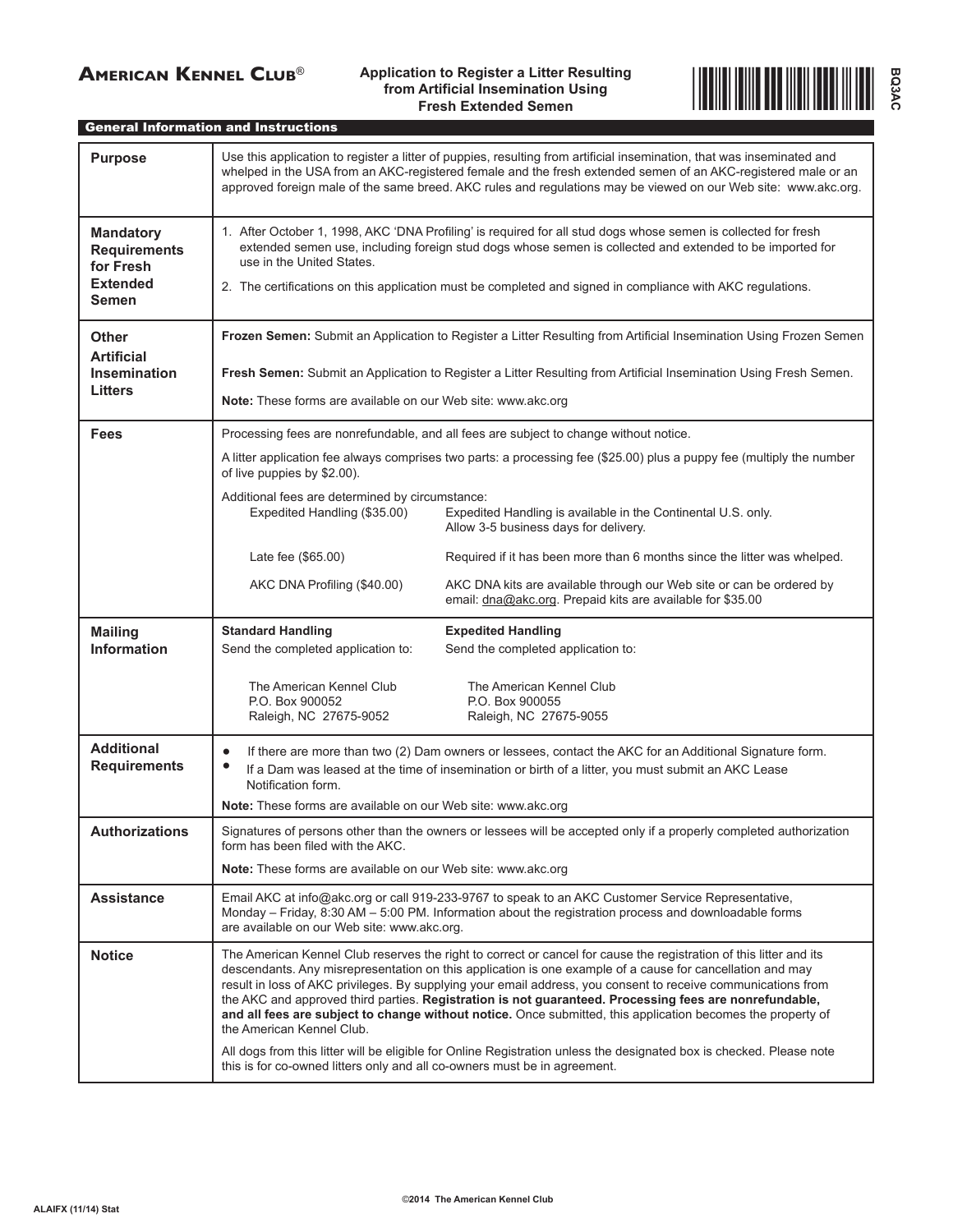# **American Kennel Club**® **Application to Register a Litter Resulting from Artificial Insemination Using Fresh Extended Semen**



General Information and Instructions

| <b>Purpose</b>                                                                          | Use this application to register a litter of puppies, resulting from artificial insemination, that was inseminated and<br>whelped in the USA from an AKC-registered female and the fresh extended semen of an AKC-registered male or an<br>approved foreign male of the same breed. AKC rules and regulations may be viewed on our Web site: www.akc.org.                                                                                                                                                                                                                                                                                                                                                                                                                                                   |  |  |  |  |  |  |  |  |  |
|-----------------------------------------------------------------------------------------|-------------------------------------------------------------------------------------------------------------------------------------------------------------------------------------------------------------------------------------------------------------------------------------------------------------------------------------------------------------------------------------------------------------------------------------------------------------------------------------------------------------------------------------------------------------------------------------------------------------------------------------------------------------------------------------------------------------------------------------------------------------------------------------------------------------|--|--|--|--|--|--|--|--|--|
| <b>Mandatory</b><br><b>Requirements</b><br>for Fresh<br><b>Extended</b><br><b>Semen</b> | 1. After October 1, 1998, AKC 'DNA Profiling' is required for all stud dogs whose semen is collected for fresh<br>extended semen use, including foreign stud dogs whose semen is collected and extended to be imported for<br>use in the United States.<br>2. The certifications on this application must be completed and signed in compliance with AKC regulations.                                                                                                                                                                                                                                                                                                                                                                                                                                       |  |  |  |  |  |  |  |  |  |
| Other<br><b>Artificial</b><br><b>Insemination</b><br><b>Litters</b>                     | Frozen Semen: Submit an Application to Register a Litter Resulting from Artificial Insemination Using Frozen Semen<br>Fresh Semen: Submit an Application to Register a Litter Resulting from Artificial Insemination Using Fresh Semen.<br>Note: These forms are available on our Web site: www.akc.org                                                                                                                                                                                                                                                                                                                                                                                                                                                                                                     |  |  |  |  |  |  |  |  |  |
| <b>Fees</b>                                                                             | Processing fees are nonrefundable, and all fees are subject to change without notice.<br>A litter application fee always comprises two parts: a processing fee (\$25.00) plus a puppy fee (multiply the number<br>of live puppies by \$2.00).<br>Additional fees are determined by circumstance:<br>Expedited Handling (\$35.00)<br>Expedited Handling is available in the Continental U.S. only.<br>Allow 3-5 business days for delivery.                                                                                                                                                                                                                                                                                                                                                                  |  |  |  |  |  |  |  |  |  |
|                                                                                         | Late fee (\$65.00)<br>Required if it has been more than 6 months since the litter was whelped.<br>AKC DNA kits are available through our Web site or can be ordered by<br>AKC DNA Profiling (\$40.00)<br>email: dna@akc.org. Prepaid kits are available for \$35.00                                                                                                                                                                                                                                                                                                                                                                                                                                                                                                                                         |  |  |  |  |  |  |  |  |  |
| <b>Mailing</b><br><b>Information</b>                                                    | <b>Standard Handling</b><br><b>Expedited Handling</b><br>Send the completed application to:<br>Send the completed application to:<br>The American Kennel Club<br>The American Kennel Club<br>P.O. Box 900052<br>P.O. Box 900055<br>Raleigh, NC 27675-9052<br>Raleigh, NC 27675-9055                                                                                                                                                                                                                                                                                                                                                                                                                                                                                                                         |  |  |  |  |  |  |  |  |  |
| <b>Additional</b><br><b>Requirements</b>                                                | If there are more than two (2) Dam owners or lessees, contact the AKC for an Additional Signature form.<br>If a Dam was leased at the time of insemination or birth of a litter, you must submit an AKC Lease<br>Notification form.<br>Note: These forms are available on our Web site: www.akc.org                                                                                                                                                                                                                                                                                                                                                                                                                                                                                                         |  |  |  |  |  |  |  |  |  |
| Authorizations                                                                          | Signatures of persons other than the owners or lessees will be accepted only if a properly completed authorization<br>form has been filed with the AKC.<br><b>Note:</b> These forms are available on our Web site: www.akc.org                                                                                                                                                                                                                                                                                                                                                                                                                                                                                                                                                                              |  |  |  |  |  |  |  |  |  |
| <b>Assistance</b>                                                                       | Email AKC at info@akc.org or call 919-233-9767 to speak to an AKC Customer Service Representative,<br>Monday - Friday, 8:30 AM - 5:00 PM. Information about the registration process and downloadable forms<br>are available on our Web site: www.akc.org.                                                                                                                                                                                                                                                                                                                                                                                                                                                                                                                                                  |  |  |  |  |  |  |  |  |  |
| <b>Notice</b>                                                                           | The American Kennel Club reserves the right to correct or cancel for cause the registration of this litter and its<br>descendants. Any misrepresentation on this application is one example of a cause for cancellation and may<br>result in loss of AKC privileges. By supplying your email address, you consent to receive communications from<br>the AKC and approved third parties. Registration is not guaranteed. Processing fees are nonrefundable,<br>and all fees are subject to change without notice. Once submitted, this application becomes the property of<br>the American Kennel Club.<br>All dogs from this litter will be eligible for Online Registration unless the designated box is checked. Please note<br>this is for co-owned litters only and all co-owners must be in agreement. |  |  |  |  |  |  |  |  |  |